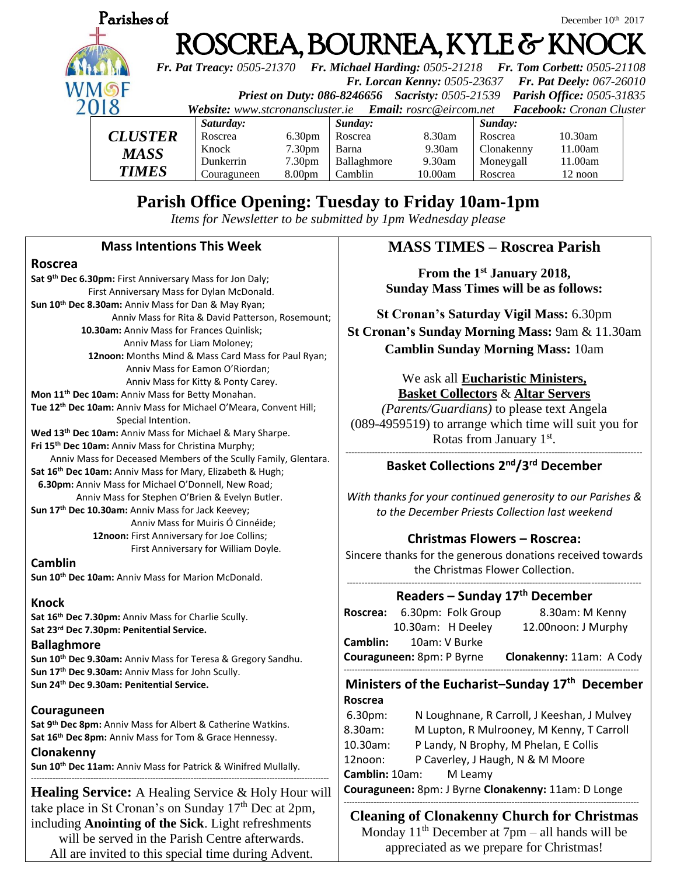

# **Parish Office Opening: Tuesday to Friday 10am-1pm**

*Items for Newsletter to be submitted by 1pm Wednesday please*

### **Mass Intentions This Week**

#### **Roscrea**

**Sat 9th Dec 6.30pm:** First Anniversary Mass for Jon Daly; First Anniversary Mass for Dylan McDonald. **Sun 10th Dec 8.30am:** Anniv Mass for Dan & May Ryan; Anniv Mass for Rita & David Patterson, Rosemount;  **10.30am:** Anniv Mass for Frances Quinlisk; Anniv Mass for Liam Moloney;  **12noon:** Months Mind & Mass Card Mass for Paul Ryan; Anniv Mass for Eamon O'Riordan; Anniv Mass for Kitty & Ponty Carey. **Mon 11th Dec 10am:** Anniv Mass for Betty Monahan. **Tue 12th Dec 10am:** Anniv Mass for Michael O'Meara, Convent Hill; Special Intention. **Wed 13th Dec 10am:** Anniv Mass for Michael & Mary Sharpe. **Fri 15th Dec 10am:** Anniv Mass for Christina Murphy; Anniv Mass for Deceased Members of the Scully Family, Glentara. **Sat 16th Dec 10am:** Anniv Mass for Mary, Elizabeth & Hugh; **6.30pm:** Anniv Mass for Michael O'Donnell, New Road; Anniv Mass for Stephen O'Brien & Evelyn Butler. **Sun 17th Dec 10.30am:** Anniv Mass for Jack Keevey; Anniv Mass for Muiris Ó Cinnéide; **12noon:** First Anniversary for Joe Collins; First Anniversary for William Doyle.

#### **Camblin**

**Sun 10th Dec 10am:** Anniv Mass for Marion McDonald.

#### **Knock**

**Sat 16th Dec 7.30pm:** Anniv Mass for Charlie Scully. **Sat 23rd Dec 7.30pm: Penitential Service.**

#### **Ballaghmore**

**Sun 10th Dec 9.30am:** Anniv Mass for Teresa & Gregory Sandhu. **Sun 17th Dec 9.30am:** Anniv Mass for John Scully. **Sun 24th Dec 9.30am: Penitential Service.**

#### **Couraguneen**

**Sat 9th Dec 8pm:** Anniv Mass for Albert & Catherine Watkins. **Sat 16th Dec 8pm:** Anniv Mass for Tom & Grace Hennessy.

**Clonakenny**

**Sun 10th Dec 11am:** Anniv Mass for Patrick & Winifred Mullally.

**Healing Service:** A Healing Service & Holy Hour will take place in St Cronan's on Sunday  $17<sup>th</sup>$  Dec at 2pm, including **Anointing of the Sick**. Light refreshments will be served in the Parish Centre afterwards. All are invited to this special time during Advent.

--------------------------------------------------------------------------------------------------------------

# **MASS TIMES – Roscrea Parish**

**From the 1st January 2018, Sunday Mass Times will be as follows:**

**St Cronan's Saturday Vigil Mass:** 6.30pm **St Cronan's Sunday Morning Mass:** 9am & 11.30am **Camblin Sunday Morning Mass:** 10am

#### We ask all **Eucharistic Ministers, Basket Collectors** & **Altar Servers**

*(Parents/Guardians)* to please text Angela (089-4959519) to arrange which time will suit you for Rotas from January 1<sup>st</sup>. **-----------------------------------------------------------------------------------------------------**

# **Basket Collections 2 nd/3rd December**

*With thanks for your continued generosity to our Parishes & to the December Priests Collection last weekend*

## **Christmas Flowers – Roscrea:**

Sincere thanks for the generous donations received towards the Christmas Flower Collection.

#### ---------------------------------------------------------------------------------------------------- **Readers – Sunday 17th December**

| Roscrea:                  |                   | 6.30pm: Folk Group | 8.30am: M Kenny          |
|---------------------------|-------------------|--------------------|--------------------------|
|                           | 10.30am: H Deeley |                    | 12.00noon: J Murphy      |
| Camblin:                  |                   | 10am: V Burke      |                          |
| Couraguneen: 8pm: P Byrne |                   |                    | Clonakenny: 11am: A Cody |
|                           |                   |                    |                          |

# **Ministers of the Eucharist–Sunday 17th December Roscrea**

| $6.30pm$ :                                          | N Loughnane, R Carroll, J Keeshan, J Mulvey |  |  |  |
|-----------------------------------------------------|---------------------------------------------|--|--|--|
| 8.30am:                                             | M Lupton, R Mulrooney, M Kenny, T Carroll   |  |  |  |
| 10.30am:                                            | P Landy, N Brophy, M Phelan, E Collis       |  |  |  |
| 12noon:                                             | P Caverley, J Haugh, N & M Moore            |  |  |  |
| <b>Camblin:</b> 10am:<br>M Leamv                    |                                             |  |  |  |
| Couraguneen: 8pm: J Byrne Clonakenny: 11am: D Longe |                                             |  |  |  |

#### ------------------------------------------------------------------------------------------------------------- **Cleaning of Clonakenny Church for Christmas**

Monday  $11<sup>th</sup>$  December at 7pm – all hands will be appreciated as we prepare for Christmas!